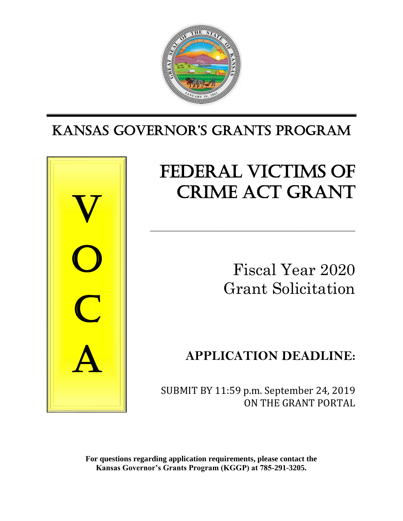

# KANSAS GoverNor'S GrANtS ProGrAm



# FEDERAL VICTIMS OF CRIME ACT GRANT

\_\_\_\_\_\_\_\_\_\_\_\_\_\_\_\_\_\_\_\_\_\_\_\_\_\_\_\_\_\_\_\_\_\_\_\_\_\_\_\_\_\_\_\_\_\_\_\_\_\_\_\_

Fiscal Year 2020 Grant Solicitation

# **APPLICATION DEADLINE:**

 SUBMIT BY 11:59 p.m. September 24, 2019 ON THE GRANT PORTAL

**For questions regarding application requirements, please contact the Kansas Governor's Grants Program (KGGP) at 785-291-3205.**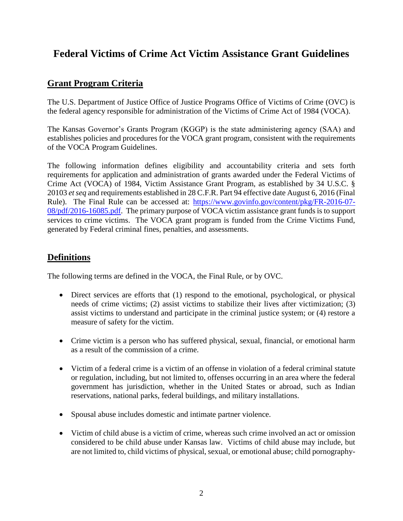# **Federal Victims of Crime Act Victim Assistance Grant Guidelines**

# **Grant Program Criteria**

The U.S. Department of Justice Office of Justice Programs Office of Victims of Crime (OVC) is the federal agency responsible for administration of the Victims of Crime Act of 1984 (VOCA).

The Kansas Governor's Grants Program (KGGP) is the state administering agency (SAA) and establishes policies and procedures for the VOCA grant program, consistent with the requirements of the VOCA Program Guidelines.

The following information defines eligibility and accountability criteria and sets forth requirements for application and administration of grants awarded under the Federal Victims of Crime Act (VOCA) of 1984, Victim Assistance Grant Program, as established by 34 U.S.C. § 20103 *et seq* and requirements established in 28 C.F.R. Part 94 effective date August 6, 2016 (Final Rule). The Final Rule can be accessed at: [https://www.govinfo.gov/content/pkg/FR-2016-07-](https://www.govinfo.gov/content/pkg/FR-2016-07-08/pdf/2016-16085.pdf) [08/pdf/2016-16085.pdf.](https://www.govinfo.gov/content/pkg/FR-2016-07-08/pdf/2016-16085.pdf) The primary purpose of VOCA victim assistance grant funds is to support services to crime victims. The VOCA grant program is funded from the Crime Victims Fund, generated by Federal criminal fines, penalties, and assessments.

# **Definitions**

The following terms are defined in the VOCA, the Final Rule, or by OVC.

- Direct services are efforts that (1) respond to the emotional, psychological, or physical needs of crime victims; (2) assist victims to stabilize their lives after victimization; (3) assist victims to understand and participate in the criminal justice system; or (4) restore a measure of safety for the victim.
- Crime victim is a person who has suffered physical, sexual, financial, or emotional harm as a result of the commission of a crime.
- Victim of a federal crime is a victim of an offense in violation of a federal criminal statute or regulation, including, but not limited to, offenses occurring in an area where the federal government has jurisdiction, whether in the United States or abroad, such as Indian reservations, national parks, federal buildings, and military installations.
- Spousal abuse includes domestic and intimate partner violence.
- Victim of child abuse is a victim of crime, whereas such crime involved an act or omission considered to be child abuse under Kansas law. Victims of child abuse may include, but are not limited to, child victims of physical, sexual, or emotional abuse; child pornography-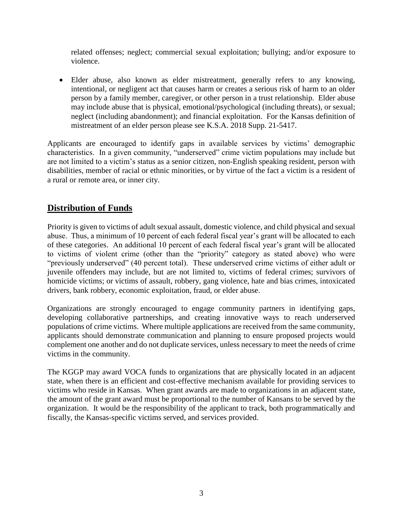related offenses; neglect; commercial sexual exploitation; bullying; and/or exposure to violence.

• Elder abuse, also known as elder mistreatment, generally refers to any knowing, intentional, or negligent act that causes harm or creates a serious risk of harm to an older person by a family member, caregiver, or other person in a trust relationship. Elder abuse may include abuse that is physical, emotional/psychological (including threats), or sexual; neglect (including abandonment); and financial exploitation. For the Kansas definition of mistreatment of an elder person please see K.S.A. 2018 Supp. 21-5417.

Applicants are encouraged to identify gaps in available services by victims' demographic characteristics. In a given community, "underserved" crime victim populations may include but are not limited to a victim's status as a senior citizen, non-English speaking resident, person with disabilities, member of racial or ethnic minorities, or by virtue of the fact a victim is a resident of a rural or remote area, or inner city.

# **Distribution of Funds**

Priority is given to victims of adult sexual assault, domestic violence, and child physical and sexual abuse. Thus, a minimum of 10 percent of each federal fiscal year's grant will be allocated to each of these categories. An additional 10 percent of each federal fiscal year's grant will be allocated to victims of violent crime (other than the "priority" category as stated above) who were "previously underserved" (40 percent total). These underserved crime victims of either adult or juvenile offenders may include, but are not limited to, victims of federal crimes; survivors of homicide victims; or victims of assault, robbery, gang violence, hate and bias crimes, intoxicated drivers, bank robbery, economic exploitation, fraud, or elder abuse.

Organizations are strongly encouraged to engage community partners in identifying gaps, developing collaborative partnerships, and creating innovative ways to reach underserved populations of crime victims. Where multiple applications are received from the same community, applicants should demonstrate communication and planning to ensure proposed projects would complement one another and do not duplicate services, unless necessary to meet the needs of crime victims in the community.

The KGGP may award VOCA funds to organizations that are physically located in an adjacent state, when there is an efficient and cost-effective mechanism available for providing services to victims who reside in Kansas. When grant awards are made to organizations in an adjacent state, the amount of the grant award must be proportional to the number of Kansans to be served by the organization. It would be the responsibility of the applicant to track, both programmatically and fiscally, the Kansas-specific victims served, and services provided.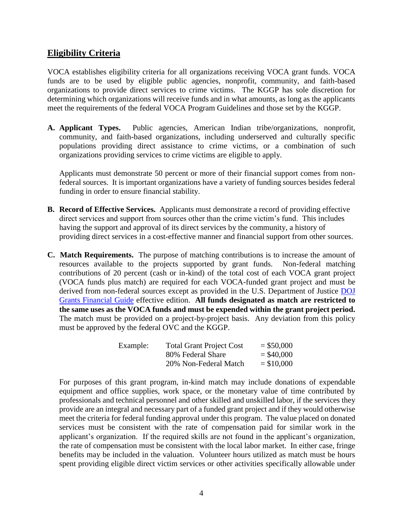## **Eligibility Criteria**

VOCA establishes eligibility criteria for all organizations receiving VOCA grant funds. VOCA funds are to be used by eligible public agencies, nonprofit, community, and faith-based organizations to provide direct services to crime victims. The KGGP has sole discretion for determining which organizations will receive funds and in what amounts, as long as the applicants meet the requirements of the federal VOCA Program Guidelines and those set by the KGGP.

**A. Applicant Types.** Public agencies, American Indian tribe/organizations, nonprofit, community, and faith-based organizations, including underserved and culturally specific populations providing direct assistance to crime victims, or a combination of such organizations providing services to crime victims are eligible to apply.

Applicants must demonstrate 50 percent or more of their financial support comes from nonfederal sources. It is important organizations have a variety of funding sources besides federal funding in order to ensure financial stability.

- **B. Record of Effective Services.** Applicants must demonstrate a record of providing effective direct services and support from sources other than the crime victim's fund. This includes having the support and approval of its direct services by the community, a history of providing direct services in a cost-effective manner and financial support from other sources.
- **C. Match Requirements.** The purpose of matching contributions is to increase the amount of resources available to the projects supported by grant funds. Non-federal matching contributions of 20 percent (cash or in-kind) of the total cost of each VOCA grant project (VOCA funds plus match) are required for each VOCA-funded grant project and must be derived from non-federal sources except as provided in the U.S. Department of Justice DOJ [Grants Financial Guide](http://ojp.gov/financialguide/DOJ/index.htm) effective edition. **All funds designated as match are restricted to the same uses as the VOCA funds and must be expended within the grant project period.** The match must be provided on a project-by-project basis. Any deviation from this policy must be approved by the federal OVC and the KGGP.

| Example: | <b>Total Grant Project Cost</b> | $=$ \$50,000 |
|----------|---------------------------------|--------------|
|          | 80% Federal Share               | $=$ \$40,000 |
|          | 20% Non-Federal Match           | $=$ \$10,000 |

For purposes of this grant program, in-kind match may include donations of expendable equipment and office supplies, work space, or the monetary value of time contributed by professionals and technical personnel and other skilled and unskilled labor, if the services they provide are an integral and necessary part of a funded grant project and if they would otherwise meet the criteria for federal funding approval under this program. The value placed on donated services must be consistent with the rate of compensation paid for similar work in the applicant's organization. If the required skills are not found in the applicant's organization, the rate of compensation must be consistent with the local labor market. In either case, fringe benefits may be included in the valuation. Volunteer hours utilized as match must be hours spent providing eligible direct victim services or other activities specifically allowable under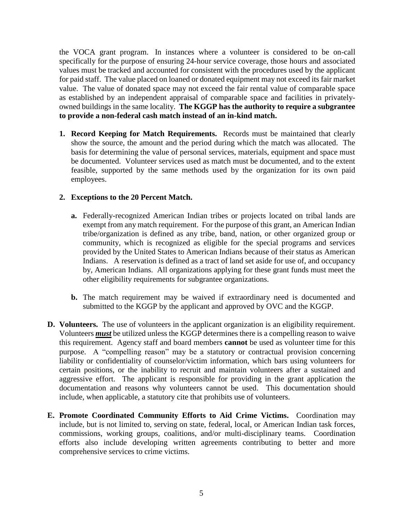the VOCA grant program. In instances where a volunteer is considered to be on-call specifically for the purpose of ensuring 24-hour service coverage, those hours and associated values must be tracked and accounted for consistent with the procedures used by the applicant for paid staff. The value placed on loaned or donated equipment may not exceed its fair market value. The value of donated space may not exceed the fair rental value of comparable space as established by an independent appraisal of comparable space and facilities in privatelyowned buildings in the same locality. **The KGGP has the authority to require a subgrantee to provide a non-federal cash match instead of an in-kind match.**

**1. Record Keeping for Match Requirements.** Records must be maintained that clearly show the source, the amount and the period during which the match was allocated. The basis for determining the value of personal services, materials, equipment and space must be documented. Volunteer services used as match must be documented, and to the extent feasible, supported by the same methods used by the organization for its own paid employees.

#### **2. Exceptions to the 20 Percent Match.**

- **a.** Federally-recognized American Indian tribes or projects located on tribal lands are exempt from any match requirement. For the purpose of this grant, an American Indian tribe/organization is defined as any tribe, band, nation, or other organized group or community, which is recognized as eligible for the special programs and services provided by the United States to American Indians because of their status as American Indians. A reservation is defined as a tract of land set aside for use of, and occupancy by, American Indians. All organizations applying for these grant funds must meet the other eligibility requirements for subgrantee organizations.
- **b.** The match requirement may be waived if extraordinary need is documented and submitted to the KGGP by the applicant and approved by OVC and the KGGP.
- **D. Volunteers.** The use of volunteers in the applicant organization is an eligibility requirement. Volunteers *must* be utilized unless the KGGP determines there is a compelling reason to waive this requirement. Agency staff and board members **cannot** be used as volunteer time for this purpose. A "compelling reason" may be a statutory or contractual provision concerning liability or confidentiality of counselor/victim information, which bars using volunteers for certain positions, or the inability to recruit and maintain volunteers after a sustained and aggressive effort. The applicant is responsible for providing in the grant application the documentation and reasons why volunteers cannot be used. This documentation should include, when applicable, a statutory cite that prohibits use of volunteers.
- **E. Promote Coordinated Community Efforts to Aid Crime Victims.** Coordination may include, but is not limited to, serving on state, federal, local, or American Indian task forces, commissions, working groups, coalitions, and/or multi-disciplinary teams. Coordination efforts also include developing written agreements contributing to better and more comprehensive services to crime victims.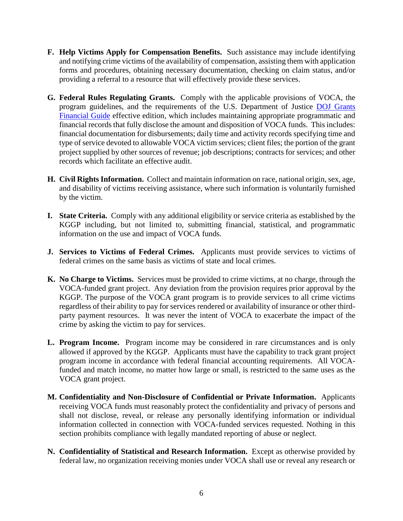- **F. Help Victims Apply for Compensation Benefits.** Such assistance may include identifying and notifying crime victims of the availability of compensation, assisting them with application forms and procedures, obtaining necessary documentation, checking on claim status, and/or providing a referral to a resource that will effectively provide these services.
- **G. Federal Rules Regulating Grants.** Comply with the applicable provisions of VOCA, the program guidelines, and the requirements of the U.S. Department of Justice [DOJ Grants](http://ojp.gov/financialguide/DOJ/index.htm)  [Financial Guide](http://ojp.gov/financialguide/DOJ/index.htm) effective edition, which includes maintaining appropriate programmatic and financial records that fully disclose the amount and disposition of VOCA funds. This includes: financial documentation for disbursements; daily time and activity records specifying time and type of service devoted to allowable VOCA victim services; client files; the portion of the grant project supplied by other sources of revenue; job descriptions; contracts for services; and other records which facilitate an effective audit.
- **H. Civil Rights Information.** Collect and maintain information on race, national origin, sex, age, and disability of victims receiving assistance, where such information is voluntarily furnished by the victim.
- **I. State Criteria.** Comply with any additional eligibility or service criteria as established by the KGGP including, but not limited to, submitting financial, statistical, and programmatic information on the use and impact of VOCA funds.
- **J. Services to Victims of Federal Crimes.** Applicants must provide services to victims of federal crimes on the same basis as victims of state and local crimes.
- **K. No Charge to Victims.** Services must be provided to crime victims, at no charge, through the VOCA-funded grant project. Any deviation from the provision requires prior approval by the KGGP. The purpose of the VOCA grant program is to provide services to all crime victims regardless of their ability to pay for services rendered or availability of insurance or other thirdparty payment resources. It was never the intent of VOCA to exacerbate the impact of the crime by asking the victim to pay for services.
- **L. Program Income.** Program income may be considered in rare circumstances and is only allowed if approved by the KGGP. Applicants must have the capability to track grant project program income in accordance with federal financial accounting requirements. All VOCAfunded and match income, no matter how large or small, is restricted to the same uses as the VOCA grant project.
- **M. Confidentiality and Non-Disclosure of Confidential or Private Information.** Applicants receiving VOCA funds must reasonably protect the confidentiality and privacy of persons and shall not disclose, reveal, or release any personally identifying information or individual information collected in connection with VOCA-funded services requested. Nothing in this section prohibits compliance with legally mandated reporting of abuse or neglect.
- **N. Confidentiality of Statistical and Research Information.** Except as otherwise provided by federal law, no organization receiving monies under VOCA shall use or reveal any research or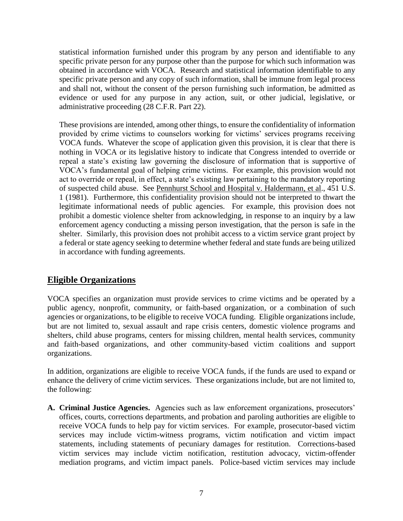statistical information furnished under this program by any person and identifiable to any specific private person for any purpose other than the purpose for which such information was obtained in accordance with VOCA. Research and statistical information identifiable to any specific private person and any copy of such information, shall be immune from legal process and shall not, without the consent of the person furnishing such information, be admitted as evidence or used for any purpose in any action, suit, or other judicial, legislative, or administrative proceeding (28 C.F.R. Part 22).

These provisions are intended, among other things, to ensure the confidentiality of information provided by crime victims to counselors working for victims' services programs receiving VOCA funds. Whatever the scope of application given this provision, it is clear that there is nothing in VOCA or its legislative history to indicate that Congress intended to override or repeal a state's existing law governing the disclosure of information that is supportive of VOCA's fundamental goal of helping crime victims. For example, this provision would not act to override or repeal, in effect, a state's existing law pertaining to the mandatory reporting of suspected child abuse. See Pennhurst School and Hospital v. Haldermann, et al., 451 U.S. 1 (1981). Furthermore, this confidentiality provision should not be interpreted to thwart the legitimate informational needs of public agencies. For example, this provision does not prohibit a domestic violence shelter from acknowledging, in response to an inquiry by a law enforcement agency conducting a missing person investigation, that the person is safe in the shelter. Similarly, this provision does not prohibit access to a victim service grant project by a federal or state agency seeking to determine whether federal and state funds are being utilized in accordance with funding agreements.

# **Eligible Organizations**

VOCA specifies an organization must provide services to crime victims and be operated by a public agency, nonprofit, community, or faith-based organization, or a combination of such agencies or organizations, to be eligible to receive VOCA funding. Eligible organizations include, but are not limited to, sexual assault and rape crisis centers, domestic violence programs and shelters, child abuse programs, centers for missing children, mental health services, community and faith-based organizations, and other community-based victim coalitions and support organizations.

In addition, organizations are eligible to receive VOCA funds, if the funds are used to expand or enhance the delivery of crime victim services. These organizations include, but are not limited to, the following:

**A. Criminal Justice Agencies.** Agencies such as law enforcement organizations, prosecutors' offices, courts, corrections departments, and probation and paroling authorities are eligible to receive VOCA funds to help pay for victim services. For example, prosecutor-based victim services may include victim-witness programs, victim notification and victim impact statements, including statements of pecuniary damages for restitution. Corrections-based victim services may include victim notification, restitution advocacy, victim-offender mediation programs, and victim impact panels. Police-based victim services may include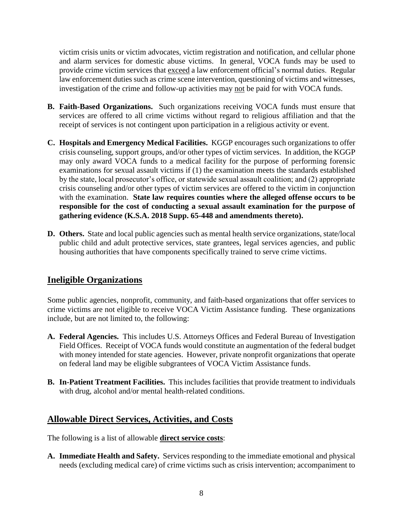victim crisis units or victim advocates, victim registration and notification, and cellular phone and alarm services for domestic abuse victims. In general, VOCA funds may be used to provide crime victim services that exceed a law enforcement official's normal duties. Regular law enforcement duties such as crime scene intervention, questioning of victims and witnesses, investigation of the crime and follow-up activities may not be paid for with VOCA funds.

- **B. Faith-Based Organizations.** Such organizations receiving VOCA funds must ensure that services are offered to all crime victims without regard to religious affiliation and that the receipt of services is not contingent upon participation in a religious activity or event.
- **C. Hospitals and Emergency Medical Facilities.** KGGP encourages such organizations to offer crisis counseling, support groups, and/or other types of victim services. In addition, the KGGP may only award VOCA funds to a medical facility for the purpose of performing forensic examinations for sexual assault victims if (1) the examination meets the standards established by the state, local prosecutor's office, or statewide sexual assault coalition; and (2) appropriate crisis counseling and/or other types of victim services are offered to the victim in conjunction with the examination. **State law requires counties where the alleged offense occurs to be responsible for the cost of conducting a sexual assault examination for the purpose of gathering evidence (K.S.A. 2018 Supp. 65-448 and amendments thereto).**
- **D. Others.** State and local public agencies such as mental health service organizations, state/local public child and adult protective services, state grantees, legal services agencies, and public housing authorities that have components specifically trained to serve crime victims.

# **Ineligible Organizations**

Some public agencies, nonprofit, community, and faith-based organizations that offer services to crime victims are not eligible to receive VOCA Victim Assistance funding. These organizations include, but are not limited to, the following:

- **A. Federal Agencies.** This includes U.S. Attorneys Offices and Federal Bureau of Investigation Field Offices. Receipt of VOCA funds would constitute an augmentation of the federal budget with money intended for state agencies. However, private nonprofit organizations that operate on federal land may be eligible subgrantees of VOCA Victim Assistance funds.
- **B. In-Patient Treatment Facilities.** This includes facilities that provide treatment to individuals with drug, alcohol and/or mental health-related conditions.

# **Allowable Direct Services, Activities, and Costs**

The following is a list of allowable **direct service costs**:

**A. Immediate Health and Safety.** Services responding to the immediate emotional and physical needs (excluding medical care) of crime victims such as crisis intervention; accompaniment to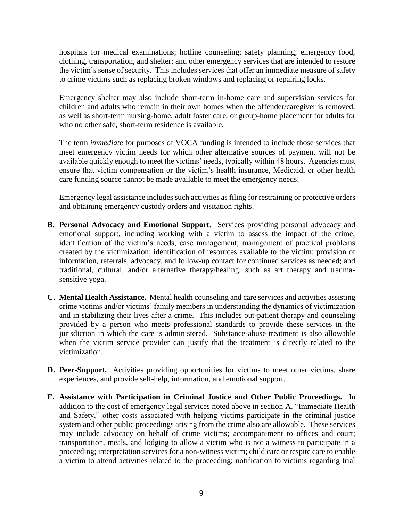hospitals for medical examinations; hotline counseling; safety planning; emergency food, clothing, transportation, and shelter; and other emergency services that are intended to restore the victim's sense of security. This includes services that offer an immediate measure of safety to crime victims such as replacing broken windows and replacing or repairing locks.

Emergency shelter may also include short-term in-home care and supervision services for children and adults who remain in their own homes when the offender/caregiver is removed, as well as short-term nursing-home, adult foster care, or group-home placement for adults for who no other safe, short-term residence is available.

The term *immediate* for purposes of VOCA funding is intended to include those services that meet emergency victim needs for which other alternative sources of payment will not be available quickly enough to meet the victims' needs, typically within 48 hours. Agencies must ensure that victim compensation or the victim's health insurance, Medicaid, or other health care funding source cannot be made available to meet the emergency needs.

Emergency legal assistance includes such activities as filing for restraining or protective orders and obtaining emergency custody orders and visitation rights.

- **B. Personal Advocacy and Emotional Support.** Services providing personal advocacy and emotional support, including working with a victim to assess the impact of the crime; identification of the victim's needs; case management; management of practical problems created by the victimization; identification of resources available to the victim; provision of information, referrals, advocacy, and follow-up contact for continued services as needed; and traditional, cultural, and/or alternative therapy/healing, such as art therapy and traumasensitive yoga.
- **C. Mental Health Assistance.** Mental health counseling and care services and activities assisting crime victims and/or victims' family members in understanding the dynamics of victimization and in stabilizing their lives after a crime. This includes out-patient therapy and counseling provided by a person who meets professional standards to provide these services in the jurisdiction in which the care is administered. Substance-abuse treatment is also allowable when the victim service provider can justify that the treatment is directly related to the victimization.
- **D. Peer-Support.** Activities providing opportunities for victims to meet other victims, share experiences, and provide self-help, information, and emotional support.
- **E. Assistance with Participation in Criminal Justice and Other Public Proceedings.** In addition to the cost of emergency legal services noted above in section A. "Immediate Health and Safety," other costs associated with helping victims participate in the criminal justice system and other public proceedings arising from the crime also are allowable. These services may include advocacy on behalf of crime victims; accompaniment to offices and court; transportation, meals, and lodging to allow a victim who is not a witness to participate in a proceeding; interpretation services for a non-witness victim; child care or respite care to enable a victim to attend activities related to the proceeding; notification to victims regarding trial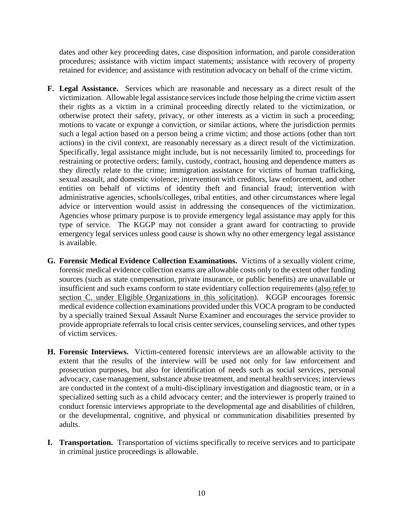dates and other key proceeding dates, case disposition information, and parole consideration procedures; assistance with victim impact statements; assistance with recovery of property retained for evidence; and assistance with restitution advocacy on behalf of the crime victim.

- **F. Legal Assistance.** Services which are reasonable and necessary as a direct result of the victimization. Allowable legal assistance services include those helping the crime victim assert their rights as a victim in a criminal proceeding directly related to the victimization, or otherwise protect their safety, privacy, or other interests as a victim in such a proceeding; motions to vacate or expunge a conviction, or similar actions, where the jurisdiction permits such a legal action based on a person being a crime victim; and those actions (other than tort actions) in the civil context, are reasonably necessary as a direct result of the victimization. Specifically, legal assistance might include, but is not necessarily limited to, proceedings for restraining or protective orders; family, custody, contract, housing and dependence matters as they directly relate to the crime; immigration assistance for victims of human trafficking, sexual assault, and domestic violence; intervention with creditors, law enforcement, and other entities on behalf of victims of identity theft and financial fraud; intervention with administrative agencies, schools/colleges, tribal entities, and other circumstances where legal advice or intervention would assist in addressing the consequences of the victimization. Agencies whose primary purpose is to provide emergency legal assistance may apply for this type of service. The KGGP may not consider a grant award for contracting to provide emergency legal services unless good cause is shown why no other emergency legal assistance is available.
- **G. Forensic Medical Evidence Collection Examinations.** Victims of a sexually violent crime, forensic medical evidence collection exams are allowable costs only to the extent other funding sources (such as state compensation, private insurance, or public benefits) are unavailable or insufficient and such exams conform to state evidentiary collection requirements (also refer to section C. under Eligible Organizations in this solicitation). KGGP encourages forensic medical evidence collection examinations provided under this VOCA program to be conducted by a specially trained Sexual Assault Nurse Examiner and encourages the service provider to provide appropriate referrals to local crisis center services, counseling services, and other types of victim services.
- **H. Forensic Interviews.** Victim-centered forensic interviews are an allowable activity to the extent that the results of the interview will be used not only for law enforcement and prosecution purposes, but also for identification of needs such as social services, personal advocacy, case management, substance abuse treatment, and mental health services; interviews are conducted in the context of a multi-disciplinary investigation and diagnostic team, or in a specialized setting such as a child advocacy center; and the interviewer is properly trained to conduct forensic interviews appropriate to the developmental age and disabilities of children, or the developmental, cognitive, and physical or communication disabilities presented by adults.
- **I. Transportation.** Transportation of victims specifically to receive services and to participate in criminal justice proceedings is allowable.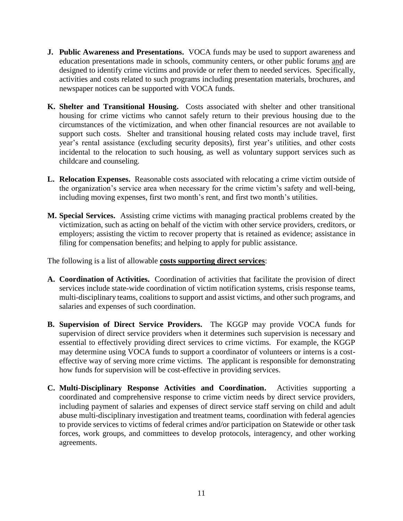- **J. Public Awareness and Presentations.** VOCA funds may be used to support awareness and education presentations made in schools, community centers, or other public forums and are designed to identify crime victims and provide or refer them to needed services. Specifically, activities and costs related to such programs including presentation materials, brochures, and newspaper notices can be supported with VOCA funds.
- **K. Shelter and Transitional Housing.** Costs associated with shelter and other transitional housing for crime victims who cannot safely return to their previous housing due to the circumstances of the victimization, and when other financial resources are not available to support such costs. Shelter and transitional housing related costs may include travel, first year's rental assistance (excluding security deposits), first year's utilities, and other costs incidental to the relocation to such housing, as well as voluntary support services such as childcare and counseling.
- **L. Relocation Expenses.** Reasonable costs associated with relocating a crime victim outside of the organization's service area when necessary for the crime victim's safety and well-being, including moving expenses, first two month's rent, and first two month's utilities.
- **M. Special Services.** Assisting crime victims with managing practical problems created by the victimization, such as acting on behalf of the victim with other service providers, creditors, or employers; assisting the victim to recover property that is retained as evidence; assistance in filing for compensation benefits; and helping to apply for public assistance.

The following is a list of allowable **costs supporting direct services**:

- **A. Coordination of Activities.** Coordination of activities that facilitate the provision of direct services include state-wide coordination of victim notification systems, crisis response teams, multi-disciplinary teams, coalitions to support and assist victims, and other such programs, and salaries and expenses of such coordination.
- **B. Supervision of Direct Service Providers.** The KGGP may provide VOCA funds for supervision of direct service providers when it determines such supervision is necessary and essential to effectively providing direct services to crime victims. For example, the KGGP may determine using VOCA funds to support a coordinator of volunteers or interns is a costeffective way of serving more crime victims. The applicant is responsible for demonstrating how funds for supervision will be cost-effective in providing services.
- **C. Multi-Disciplinary Response Activities and Coordination.** Activities supporting a coordinated and comprehensive response to crime victim needs by direct service providers, including payment of salaries and expenses of direct service staff serving on child and adult abuse multi-disciplinary investigation and treatment teams, coordination with federal agencies to provide services to victims of federal crimes and/or participation on Statewide or other task forces, work groups, and committees to develop protocols, interagency, and other working agreements.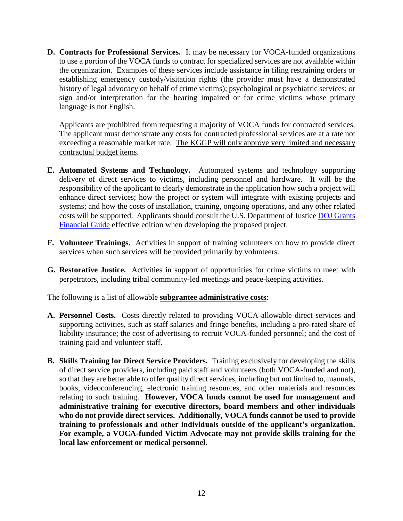**D. Contracts for Professional Services.** It may be necessary for VOCA-funded organizations to use a portion of the VOCA funds to contract for specialized services are not available within the organization. Examples of these services include assistance in filing restraining orders or establishing emergency custody/visitation rights (the provider must have a demonstrated history of legal advocacy on behalf of crime victims); psychological or psychiatric services; or sign and/or interpretation for the hearing impaired or for crime victims whose primary language is not English.

Applicants are prohibited from requesting a majority of VOCA funds for contracted services. The applicant must demonstrate any costs for contracted professional services are at a rate not exceeding a reasonable market rate. The KGGP will only approve very limited and necessary contractual budget items.

- **E. Automated Systems and Technology.** Automated systems and technology supporting delivery of direct services to victims, including personnel and hardware. It will be the responsibility of the applicant to clearly demonstrate in the application how such a project will enhance direct services; how the project or system will integrate with existing projects and systems; and how the costs of installation, training, ongoing operations, and any other related costs will be supported. Applicants should consult the U.S. Department of Justice [DOJ Grants](http://ojp.gov/financialguide/DOJ/index.htm)  [Financial Guide](http://ojp.gov/financialguide/DOJ/index.htm) effective edition when developing the proposed project.
- **F. Volunteer Trainings.** Activities in support of training volunteers on how to provide direct services when such services will be provided primarily by volunteers.
- **G. Restorative Justice.** Activities in support of opportunities for crime victims to meet with perpetrators, including tribal community-led meetings and peace-keeping activities.

The following is a list of allowable **subgrantee administrative costs**:

- **A. Personnel Costs.** Costs directly related to providing VOCA-allowable direct services and supporting activities, such as staff salaries and fringe benefits, including a pro-rated share of liability insurance; the cost of advertising to recruit VOCA-funded personnel; and the cost of training paid and volunteer staff.
- **B. Skills Training for Direct Service Providers.** Training exclusively for developing the skills of direct service providers, including paid staff and volunteers (both VOCA-funded and not), so that they are better able to offer quality direct services, including but not limited to, manuals, books, videoconferencing, electronic training resources, and other materials and resources relating to such training. **However, VOCA funds cannot be used for management and administrative training for executive directors, board members and other individuals who do not provide direct services. Additionally, VOCA funds cannot be used to provide training to professionals and other individuals outside of the applicant's organization. For example, a VOCA-funded Victim Advocate may not provide skills training for the local law enforcement or medical personnel.**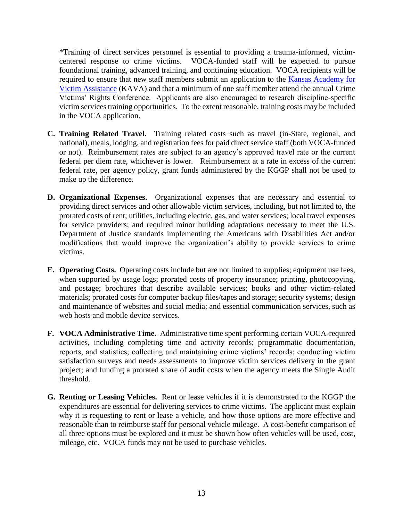\*Training of direct services personnel is essential to providing a trauma-informed, victimcentered response to crime victims. VOCA-funded staff will be expected to pursue foundational training, advanced training, and continuing education. VOCA recipients will be required to ensure that new staff members submit an application to the Kansas Academy for [Victim Assistance](http://www.grants.ks.gov/programs/kava/about-kava) (KAVA) and that a minimum of one staff member attend the annual Crime Victims' Rights Conference. Applicants are also encouraged to research discipline-specific victim services training opportunities. To the extent reasonable, training costs may be included in the VOCA application.

- **C. Training Related Travel.** Training related costs such as travel (in-State, regional, and national), meals, lodging, and registration fees for paid direct service staff (both VOCA-funded or not). Reimbursement rates are subject to an agency's approved travel rate or the current federal per diem rate, whichever is lower. Reimbursement at a rate in excess of the current federal rate, per agency policy, grant funds administered by the KGGP shall not be used to make up the difference.
- **D. Organizational Expenses.** Organizational expenses that are necessary and essential to providing direct services and other allowable victim services, including, but not limited to, the prorated costs of rent; utilities, including electric, gas, and water services; local travel expenses for service providers; and required minor building adaptations necessary to meet the U.S. Department of Justice standards implementing the Americans with Disabilities Act and/or modifications that would improve the organization's ability to provide services to crime victims.
- **E. Operating Costs.** Operating costs include but are not limited to supplies; equipment use fees, when supported by usage logs; prorated costs of property insurance; printing, photocopying, and postage; brochures that describe available services; books and other victim-related materials; prorated costs for computer backup files/tapes and storage; security systems; design and maintenance of websites and social media; and essential communication services, such as web hosts and mobile device services.
- **F. VOCA Administrative Time.** Administrative time spent performing certain VOCA-required activities, including completing time and activity records; programmatic documentation, reports, and statistics; collecting and maintaining crime victims' records; conducting victim satisfaction surveys and needs assessments to improve victim services delivery in the grant project; and funding a prorated share of audit costs when the agency meets the Single Audit threshold.
- **G. Renting or Leasing Vehicles.** Rent or lease vehicles if it is demonstrated to the KGGP the expenditures are essential for delivering services to crime victims. The applicant must explain why it is requesting to rent or lease a vehicle, and how those options are more effective and reasonable than to reimburse staff for personal vehicle mileage. A cost-benefit comparison of all three options must be explored and it must be shown how often vehicles will be used, cost, mileage, etc. VOCA funds may not be used to purchase vehicles.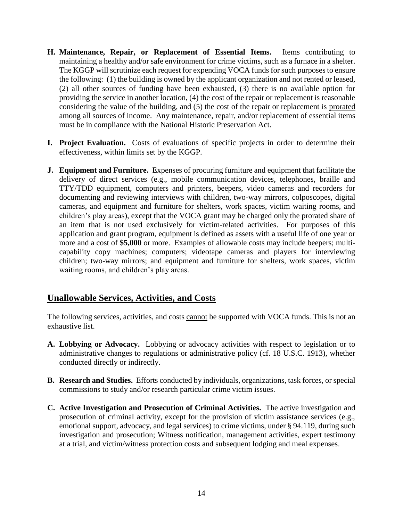- **H. Maintenance, Repair, or Replacement of Essential Items.** Items contributing to maintaining a healthy and/or safe environment for crime victims, such as a furnace in a shelter. The KGGP will scrutinize each request for expending VOCA funds for such purposes to ensure the following: (1) the building is owned by the applicant organization and not rented or leased, (2) all other sources of funding have been exhausted, (3) there is no available option for providing the service in another location, (4) the cost of the repair or replacement is reasonable considering the value of the building, and (5) the cost of the repair or replacement is prorated among all sources of income. Any maintenance, repair, and/or replacement of essential items must be in compliance with the National Historic Preservation Act.
- **I. Project Evaluation.** Costs of evaluations of specific projects in order to determine their effectiveness, within limits set by the KGGP.
- **J. Equipment and Furniture.** Expenses of procuring furniture and equipment that facilitate the delivery of direct services (e.g., mobile communication devices, telephones, braille and TTY/TDD equipment, computers and printers, beepers, video cameras and recorders for documenting and reviewing interviews with children, two-way mirrors, colposcopes, digital cameras, and equipment and furniture for shelters, work spaces, victim waiting rooms, and children's play areas), except that the VOCA grant may be charged only the prorated share of an item that is not used exclusively for victim-related activities. For purposes of this application and grant program, equipment is defined as assets with a useful life of one year or more and a cost of **\$5,000** or more. Examples of allowable costs may include beepers; multicapability copy machines; computers; videotape cameras and players for interviewing children; two-way mirrors; and equipment and furniture for shelters, work spaces, victim waiting rooms, and children's play areas.

# **Unallowable Services, Activities, and Costs**

The following services, activities, and costs cannot be supported with VOCA funds. This is not an exhaustive list.

- **A. Lobbying or Advocacy.** Lobbying or advocacy activities with respect to legislation or to administrative changes to regulations or administrative policy (cf. 18 U.S.C. 1913), whether conducted directly or indirectly.
- **B. Research and Studies.** Efforts conducted by individuals, organizations, task forces, or special commissions to study and/or research particular crime victim issues.
- **C. Active Investigation and Prosecution of Criminal Activities.** The active investigation and prosecution of criminal activity, except for the provision of victim assistance services (e.g., emotional support, advocacy, and legal services) to crime victims, under § 94.119, during such investigation and prosecution; Witness notification, management activities, expert testimony at a trial, and victim/witness protection costs and subsequent lodging and meal expenses.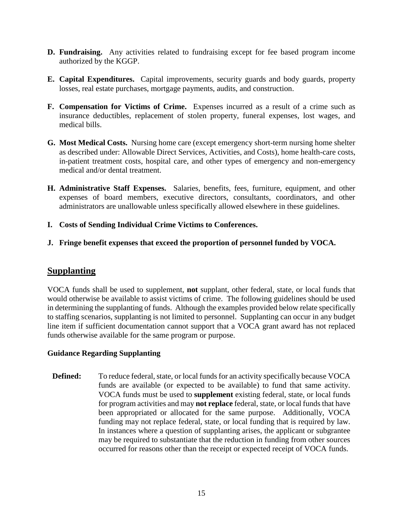- **D. Fundraising.** Any activities related to fundraising except for fee based program income authorized by the KGGP.
- **E. Capital Expenditures.** Capital improvements, security guards and body guards, property losses, real estate purchases, mortgage payments, audits, and construction.
- **F. Compensation for Victims of Crime.** Expenses incurred as a result of a crime such as insurance deductibles, replacement of stolen property, funeral expenses, lost wages, and medical bills.
- **G. Most Medical Costs.** Nursing home care (except emergency short-term nursing home shelter as described under: Allowable Direct Services, Activities, and Costs), home health-care costs, in-patient treatment costs, hospital care, and other types of emergency and non-emergency medical and/or dental treatment.
- **H. Administrative Staff Expenses.** Salaries, benefits, fees, furniture, equipment, and other expenses of board members, executive directors, consultants, coordinators, and other administrators are unallowable unless specifically allowed elsewhere in these guidelines.
- **I. Costs of Sending Individual Crime Victims to Conferences.**
- **J. Fringe benefit expenses that exceed the proportion of personnel funded by VOCA.**

#### **Supplanting**

VOCA funds shall be used to supplement, **not** supplant, other federal, state, or local funds that would otherwise be available to assist victims of crime. The following guidelines should be used in determining the supplanting of funds. Although the examples provided below relate specifically to staffing scenarios, supplanting is not limited to personnel. Supplanting can occur in any budget line item if sufficient documentation cannot support that a VOCA grant award has not replaced funds otherwise available for the same program or purpose.

#### **Guidance Regarding Supplanting**

**Defined:** To reduce federal, state, or local funds for an activity specifically because VOCA funds are available (or expected to be available) to fund that same activity. VOCA funds must be used to **supplement** existing federal, state, or local funds for program activities and may **not replace** federal, state, or local funds that have been appropriated or allocated for the same purpose. Additionally, VOCA funding may not replace federal, state, or local funding that is required by law. In instances where a question of supplanting arises, the applicant or subgrantee may be required to substantiate that the reduction in funding from other sources occurred for reasons other than the receipt or expected receipt of VOCA funds.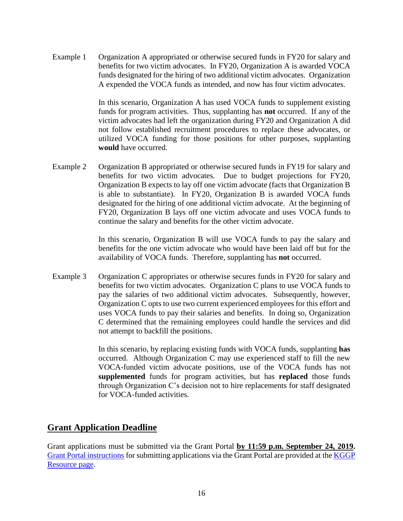Example 1 Organization A appropriated or otherwise secured funds in FY20 for salary and benefits for two victim advocates. In FY20, Organization A is awarded VOCA funds designated for the hiring of two additional victim advocates. Organization A expended the VOCA funds as intended, and now has four victim advocates.

> In this scenario, Organization A has used VOCA funds to supplement existing funds for program activities. Thus, supplanting has **not** occurred. If any of the victim advocates had left the organization during FY20 and Organization A did not follow established recruitment procedures to replace these advocates, or utilized VOCA funding for those positions for other purposes, supplanting **would** have occurred.

Example 2 Organization B appropriated or otherwise secured funds in FY19 for salary and benefits for two victim advocates. Due to budget projections for FY20, Organization B expects to lay off one victim advocate (facts that Organization B is able to substantiate). In FY20, Organization B is awarded VOCA funds designated for the hiring of one additional victim advocate. At the beginning of FY20, Organization B lays off one victim advocate and uses VOCA funds to continue the salary and benefits for the other victim advocate.

> In this scenario, Organization B will use VOCA funds to pay the salary and benefits for the one victim advocate who would have been laid off but for the availability of VOCA funds. Therefore, supplanting has **not** occurred.

Example 3 Organization C appropriates or otherwise secures funds in FY20 for salary and benefits for two victim advocates. Organization C plans to use VOCA funds to pay the salaries of two additional victim advocates. Subsequently, however, Organization C opts to use two current experienced employees for this effort and uses VOCA funds to pay their salaries and benefits. In doing so, Organization C determined that the remaining employees could handle the services and did not attempt to backfill the positions.

> In this scenario, by replacing existing funds with VOCA funds, supplanting **has** occurred. Although Organization C may use experienced staff to fill the new VOCA-funded victim advocate positions, use of the VOCA funds has not **supplemented** funds for program activities, but has **replaced** those funds through Organization C's decision not to hire replacements for staff designated for VOCA-funded activities.

#### **Grant Application Deadline**

Grant applications must be submitted via the Grant Portal **by 11:59 p.m. September 24, 2019.** [Grant Portal instructions](http://grants.ks.gov/docs/default-source/how-to-guides/application-portal-instructions.pdf?sfvrsn=4) for submitting applications via the Grant Portal are provided at the [KGGP](http://www.grants.ks.gov/resources/getting-started)  [Resource page.](http://www.grants.ks.gov/resources/getting-started)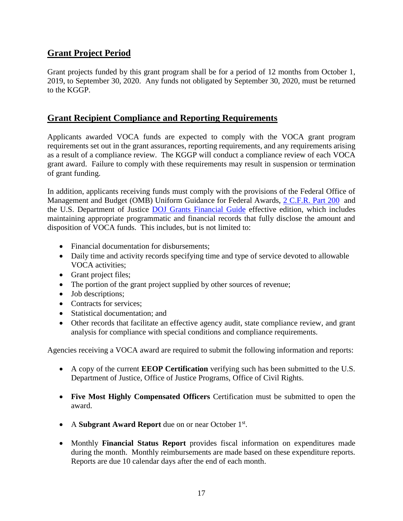# **Grant Project Period**

Grant projects funded by this grant program shall be for a period of 12 months from October 1, 2019, to September 30, 2020. Any funds not obligated by September 30, 2020, must be returned to the KGGP.

### **Grant Recipient Compliance and Reporting Requirements**

Applicants awarded VOCA funds are expected to comply with the VOCA grant program requirements set out in the grant assurances, reporting requirements, and any requirements arising as a result of a compliance review. The KGGP will conduct a compliance review of each VOCA grant award. Failure to comply with these requirements may result in suspension or termination of grant funding.

In addition, applicants receiving funds must comply with the provisions of the Federal Office of Management and Budget (OMB) Uniform Guidance for Federal Awards, [2 C.F.R.](http://www.ecfr.gov/cgi-bin/text-idx?SID=2c6d1c9f8de1f9619110b4599d84a234&mc=true&node=pt2.1.200&rgn=div5#_top) Part 200 and the U.S. Department of Justice [DOJ Grants Financial Guide](http://ojp.gov/financialguide/DOJ/index.htm) effective edition, which includes maintaining appropriate programmatic and financial records that fully disclose the amount and disposition of VOCA funds. This includes, but is not limited to:

- Financial documentation for disbursements;
- Daily time and activity records specifying time and type of service devoted to allowable VOCA activities;
- Grant project files;
- The portion of the grant project supplied by other sources of revenue;
- Job descriptions;
- Contracts for services;
- Statistical documentation; and
- Other records that facilitate an effective agency audit, state compliance review, and grant analysis for compliance with special conditions and compliance requirements.

Agencies receiving a VOCA award are required to submit the following information and reports:

- A copy of the current **EEOP Certification** verifying such has been submitted to the U.S. Department of Justice, Office of Justice Programs, Office of Civil Rights.
- **Five Most Highly Compensated Officers** Certification must be submitted to open the award.
- A Subgrant Award Report due on or near October 1<sup>st</sup>.
- Monthly **Financial Status Report** provides fiscal information on expenditures made during the month. Monthly reimbursements are made based on these expenditure reports. Reports are due 10 calendar days after the end of each month.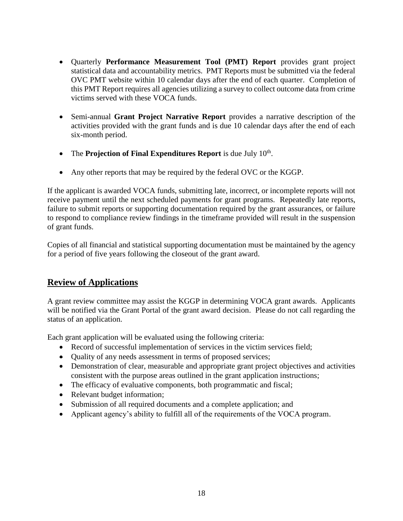- Quarterly **Performance Measurement Tool (PMT) Report** provides grant project statistical data and accountability metrics. PMT Reports must be submitted via the federal OVC PMT website within 10 calendar days after the end of each quarter. Completion of this PMT Report requires all agencies utilizing a survey to collect outcome data from crime victims served with these VOCA funds.
- Semi-annual **Grant Project Narrative Report** provides a narrative description of the activities provided with the grant funds and is due 10 calendar days after the end of each six-month period.
- The **Projection of Final Expenditures Report** is due July 10<sup>th</sup>.
- Any other reports that may be required by the federal OVC or the KGGP.

If the applicant is awarded VOCA funds, submitting late, incorrect, or incomplete reports will not receive payment until the next scheduled payments for grant programs. Repeatedly late reports, failure to submit reports or supporting documentation required by the grant assurances, or failure to respond to compliance review findings in the timeframe provided will result in the suspension of grant funds.

Copies of all financial and statistical supporting documentation must be maintained by the agency for a period of five years following the closeout of the grant award.

# **Review of Applications**

A grant review committee may assist the KGGP in determining VOCA grant awards. Applicants will be notified via the Grant Portal of the grant award decision. Please do not call regarding the status of an application.

Each grant application will be evaluated using the following criteria:

- Record of successful implementation of services in the victim services field;
- Quality of any needs assessment in terms of proposed services;
- Demonstration of clear, measurable and appropriate grant project objectives and activities consistent with the purpose areas outlined in the grant application instructions;
- The efficacy of evaluative components, both programmatic and fiscal;
- Relevant budget information;
- Submission of all required documents and a complete application; and
- Applicant agency's ability to fulfill all of the requirements of the VOCA program.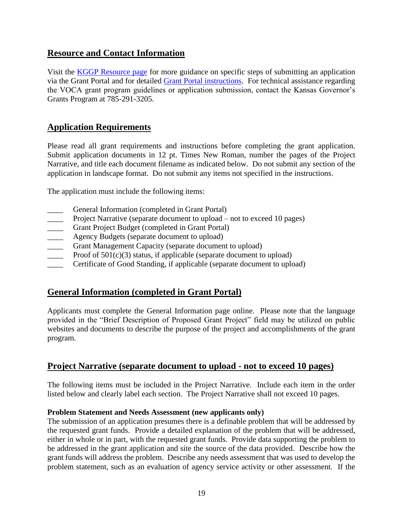# **Resource and Contact Information**

Visit the **KGGP** Resource page for more guidance on specific steps of submitting an application via the Grant Portal and for detailed [Grant Portal instructions.](http://grants.ks.gov/docs/default-source/how-to-guides/application-portal-instructions.pdf?sfvrsn=4) For technical assistance regarding the VOCA grant program guidelines or application submission, contact the Kansas Governor's Grants Program at 785-291-3205.

# **Application Requirements**

Please read all grant requirements and instructions before completing the grant application. Submit application documents in 12 pt. Times New Roman, number the pages of the Project Narrative, and title each document filename as indicated below. Do not submit any section of the application in landscape format. Do not submit any items not specified in the instructions.

The application must include the following items:

- General Information (completed in Grant Portal)
- Project Narrative (separate document to upload not to exceed 10 pages)
- Grant Project Budget (completed in Grant Portal)
- **EXECUTE:** Agency Budgets (separate document to upload)
- \_\_\_\_ Grant Management Capacity (separate document to upload)
- Proof of  $501(c)(3)$  status, if applicable (separate document to upload)
- Certificate of Good Standing, if applicable (separate document to upload)

# **General Information (completed in Grant Portal)**

Applicants must complete the General Information page online. Please note that the language provided in the "Brief Description of Proposed Grant Project" field may be utilized on public websites and documents to describe the purpose of the project and accomplishments of the grant program.

#### **Project Narrative (separate document to upload - not to exceed 10 pages)**

The following items must be included in the Project Narrative. Include each item in the order listed below and clearly label each section. The Project Narrative shall not exceed 10 pages.

#### **Problem Statement and Needs Assessment (new applicants only)**

The submission of an application presumes there is a definable problem that will be addressed by the requested grant funds. Provide a detailed explanation of the problem that will be addressed, either in whole or in part, with the requested grant funds. Provide data supporting the problem to be addressed in the grant application and site the source of the data provided. Describe how the grant funds will address the problem. Describe any needs assessment that was used to develop the problem statement, such as an evaluation of agency service activity or other assessment. If the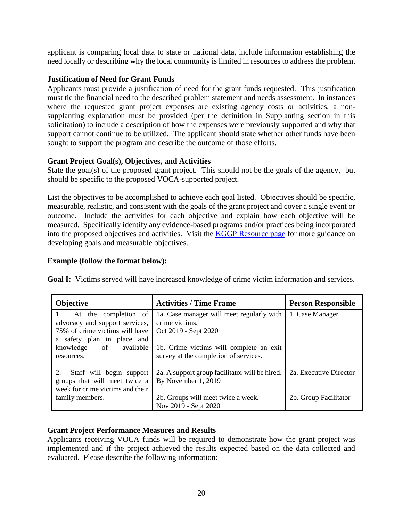applicant is comparing local data to state or national data, include information establishing the need locally or describing why the local community is limited in resources to address the problem.

#### **Justification of Need for Grant Funds**

Applicants must provide a justification of need for the grant funds requested. This justification must tie the financial need to the described problem statement and needs assessment. In instances where the requested grant project expenses are existing agency costs or activities, a nonsupplanting explanation must be provided (per the definition in Supplanting section in this solicitation) to include a description of how the expenses were previously supported and why that support cannot continue to be utilized. The applicant should state whether other funds have been sought to support the program and describe the outcome of those efforts.

#### **Grant Project Goal(s), Objectives, and Activities**

State the goal(s) of the proposed grant project. This should not be the goals of the agency, but should be specific to the proposed VOCA-supported project.

List the objectives to be accomplished to achieve each goal listed. Objectives should be specific, measurable, realistic, and consistent with the goals of the grant project and cover a single event or outcome. Include the activities for each objective and explain how each objective will be measured. Specifically identify any evidence-based programs and/or practices being incorporated into the proposed objectives and activities. Visit the [KGGP Resource page](http://www.grants.ks.gov/resources/getting-started) for more guidance on developing goals and measurable objectives.

#### **Example (follow the format below):**

| Objective                                                                                                              | <b>Activities / Time Frame</b>                                                      | <b>Person Responsible</b> |
|------------------------------------------------------------------------------------------------------------------------|-------------------------------------------------------------------------------------|---------------------------|
| At the completion of<br>advocacy and support services,<br>75% of crime victims will have<br>a safety plan in place and | 1a. Case manager will meet regularly with<br>crime victims.<br>Oct 2019 - Sept 2020 | 1. Case Manager           |
| knowledge<br>of<br>available<br>resources.                                                                             | 1b. Crime victims will complete an exit<br>survey at the completion of services.    |                           |
| Staff will begin support<br>2.<br>groups that will meet twice a<br>week for crime victims and their                    | 2a. A support group facilitator will be hired.<br>By November 1, 2019               | 2a. Executive Director    |
| family members.                                                                                                        | 2b. Groups will meet twice a week.<br>Nov 2019 - Sept 2020                          | 2b. Group Facilitator     |

**Goal I:** Victims served will have increased knowledge of crime victim information and services.

#### **Grant Project Performance Measures and Results**

Applicants receiving VOCA funds will be required to demonstrate how the grant project was implemented and if the project achieved the results expected based on the data collected and evaluated. Please describe the following information: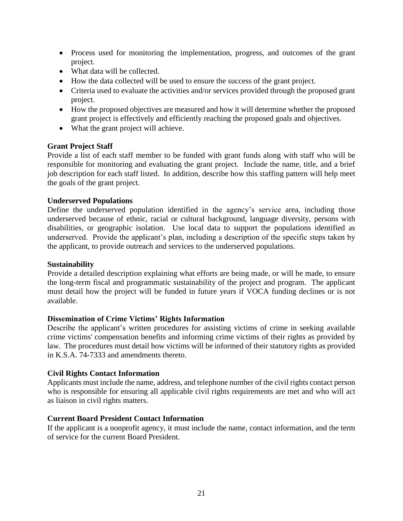- Process used for monitoring the implementation, progress, and outcomes of the grant project.
- What data will be collected.
- How the data collected will be used to ensure the success of the grant project.
- Criteria used to evaluate the activities and/or services provided through the proposed grant project.
- How the proposed objectives are measured and how it will determine whether the proposed grant project is effectively and efficiently reaching the proposed goals and objectives.
- What the grant project will achieve.

#### **Grant Project Staff**

Provide a list of each staff member to be funded with grant funds along with staff who will be responsible for monitoring and evaluating the grant project. Include the name, title, and a brief job description for each staff listed. In addition, describe how this staffing pattern will help meet the goals of the grant project.

#### **Underserved Populations**

Define the underserved population identified in the agency's service area, including those underserved because of ethnic, racial or cultural background, language diversity, persons with disabilities, or geographic isolation. Use local data to support the populations identified as underserved. Provide the applicant's plan, including a description of the specific steps taken by the applicant, to provide outreach and services to the underserved populations.

#### **Sustainability**

Provide a detailed description explaining what efforts are being made, or will be made, to ensure the long-term fiscal and programmatic sustainability of the project and program. The applicant must detail how the project will be funded in future years if VOCA funding declines or is not available.

#### **Dissemination of Crime Victims' Rights Information**

Describe the applicant's written procedures for assisting victims of crime in seeking available crime victims' compensation benefits and informing crime victims of their rights as provided by law. The procedures must detail how victims will be informed of their statutory rights as provided in K.S.A. 74-7333 and amendments thereto.

#### **Civil Rights Contact Information**

Applicants must include the name, address, and telephone number of the civil rights contact person who is responsible for ensuring all applicable civil rights requirements are met and who will act as liaison in civil rights matters.

#### **Current Board President Contact Information**

If the applicant is a nonprofit agency, it must include the name, contact information, and the term of service for the current Board President.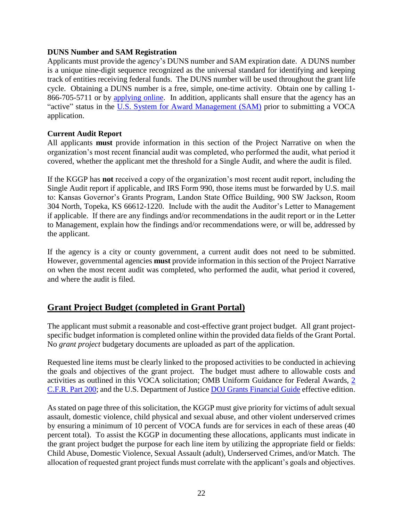#### **DUNS Number and SAM Registration**

Applicants must provide the agency's DUNS number and SAM expiration date. A DUNS number is a unique nine-digit sequence recognized as the universal standard for identifying and keeping track of entities receiving federal funds. The DUNS number will be used throughout the grant life cycle. Obtaining a DUNS number is a free, simple, one-time activity. Obtain one by calling 1 866-705-5711 or by [applying online.](https://www.dnb.com/duns-number/get-a-duns.html) In addition, applicants shall ensure that the agency has an "active" status in the [U.S. System for Award Management \(SAM\)](http://www.sam.gov/) prior to submitting a VOCA application.

#### **Current Audit Report**

All applicants **must** provide information in this section of the Project Narrative on when the organization's most recent financial audit was completed, who performed the audit, what period it covered, whether the applicant met the threshold for a Single Audit, and where the audit is filed.

If the KGGP has **not** received a copy of the organization's most recent audit report, including the Single Audit report if applicable, and IRS Form 990, those items must be forwarded by U.S. mail to: Kansas Governor's Grants Program, Landon State Office Building, 900 SW Jackson, Room 304 North, Topeka, KS 66612-1220. Include with the audit the Auditor's Letter to Management if applicable. If there are any findings and/or recommendations in the audit report or in the Letter to Management, explain how the findings and/or recommendations were, or will be, addressed by the applicant.

If the agency is a city or county government, a current audit does not need to be submitted. However, governmental agencies **must** provide information in this section of the Project Narrative on when the most recent audit was completed, who performed the audit, what period it covered, and where the audit is filed.

# **Grant Project Budget (completed in Grant Portal)**

The applicant must submit a reasonable and cost-effective grant project budget. All grant projectspecific budget information is completed online within the provided data fields of the Grant Portal. No *grant project* budgetary documents are uploaded as part of the application.

Requested line items must be clearly linked to the proposed activities to be conducted in achieving the goals and objectives of the grant project. The budget must adhere to allowable costs and activities as outlined in this VOCA solicitation; OMB Uniform Guidance for Federal Awards, [2](http://www.ecfr.gov/cgi-bin/text-idx?SID=2c6d1c9f8de1f9619110b4599d84a234&mc=true&node=pt2.1.200&rgn=div5#_top)  [C.F.R. Part 200;](http://www.ecfr.gov/cgi-bin/text-idx?SID=2c6d1c9f8de1f9619110b4599d84a234&mc=true&node=pt2.1.200&rgn=div5#_top) and the U.S. Department of Justice [DOJ Grants Financial Guide](http://ojp.gov/financialguide/DOJ/index.htm) effective edition.

As stated on page three of this solicitation, the KGGP must give priority for victims of adult sexual assault, domestic violence, child physical and sexual abuse, and other violent underserved crimes by ensuring a minimum of 10 percent of VOCA funds are for services in each of these areas (40 percent total). To assist the KGGP in documenting these allocations, applicants must indicate in the grant project budget the purpose for each line item by utilizing the appropriate field or fields: Child Abuse, Domestic Violence, Sexual Assault (adult), Underserved Crimes, and/or Match. The allocation of requested grant project funds must correlate with the applicant's goals and objectives.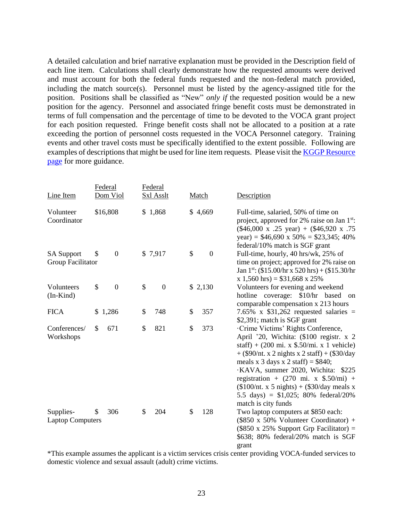A detailed calculation and brief narrative explanation must be provided in the Description field of each line item. Calculations shall clearly demonstrate how the requested amounts were derived and must account for both the federal funds requested and the non-federal match provided, including the match source(s). Personnel must be listed by the agency-assigned title for the position. Positions shall be classified as "New" *only if* the requested position would be a new position for the agency. Personnel and associated fringe benefit costs must be demonstrated in terms of full compensation and the percentage of time to be devoted to the VOCA grant project for each position requested. Fringe benefit costs shall not be allocated to a position at a rate exceeding the portion of personnel costs requested in the VOCA Personnel category. Training events and other travel costs must be specifically identified to the extent possible. Following are examples of descriptions that might be used for line item requests. Please visit th[e KGGP Resource](http://www.grants.ks.gov/resources/getting-started)  [page](http://www.grants.ks.gov/resources/getting-started) for more guidance.

|                                        | Federal                | Federal                |                        |                                                                                                                                                                                                                                                                                                                                                                                                                                                                |
|----------------------------------------|------------------------|------------------------|------------------------|----------------------------------------------------------------------------------------------------------------------------------------------------------------------------------------------------------------------------------------------------------------------------------------------------------------------------------------------------------------------------------------------------------------------------------------------------------------|
| Line Item                              | Dom Viol               | <b>Sxl Asslt</b>       | Match                  | Description                                                                                                                                                                                                                                                                                                                                                                                                                                                    |
| Volunteer<br>Coordinator               | \$16,808               | \$1,868                | \$4,669                | Full-time, salaried, 50% of time on<br>project, approved for 2% raise on Jan 1 <sup>st</sup> :<br>$($46,000 \text{ x} \cdot .25 \text{ year}) + ($46,920 \text{ x} \cdot .75)$<br>year) = $$46,690 \times 50\% = $23,345; 40\%$<br>federal/10% match is SGF grant                                                                                                                                                                                              |
| <b>SA Support</b><br>Group Facilitator | $\boldsymbol{0}$<br>\$ | \$7,917                | \$<br>$\boldsymbol{0}$ | Full-time, hourly, 40 hrs/wk, 25% of<br>time on project; approved for 2% raise on<br>Jan 1 <sup>st</sup> : $(\$15.00/hr \times 520 hrs) + (\$15.30/hr$<br>$x 1,560$ hrs) = \$31,668 x 25%                                                                                                                                                                                                                                                                      |
| Volunteers<br>$(In-Kind)$              | \$<br>$\boldsymbol{0}$ | \$<br>$\boldsymbol{0}$ | \$2,130                | Volunteers for evening and weekend<br>hotline coverage: \$10/hr based on<br>comparable compensation x 213 hours                                                                                                                                                                                                                                                                                                                                                |
| <b>FICA</b>                            | \$1,286                | \$<br>748              | 357<br>\$              | 7.65% x $$31,262$ requested salaries =<br>\$2,391; match is SGF grant                                                                                                                                                                                                                                                                                                                                                                                          |
| Conferences/<br>Workshops              | \$<br>671              | \$<br>821              | \$<br>373              | Crime Victims' Rights Conference,<br>April '20, Wichita: (\$100 registr. x 2<br>staff) + $(200 \text{ mi. x } $.50/\text{mi. x } 1 \text{ vehicle})$<br>$+$ (\$90/nt. x 2 nights x 2 staff) + (\$30/day<br>meals x 3 days x 2 staff) = $$840;$<br>·KAVA, summer 2020, Wichita: \$225<br>registration + $(270 \text{ mi. x } $.50/\text{mi})$ +<br>$($100/nt. x 5 nights) + ($30/day meals x)$<br>5.5 days) = $$1,025$ ; 80% federal/20%<br>match is city funds |
| Supplies-<br><b>Laptop Computers</b>   | 306<br>\$              | \$<br>204              | \$<br>128              | Two laptop computers at \$850 each:<br>$(\$850 \times 50\%$ Volunteer Coordinator) +<br>$($850 \times 25\%$ Support Grp Facilitator) =<br>\$638; 80% federal/20% match is SGF<br>grant<br>$*$ This sympals securing the englisent is a victim services quote senter providing $VOCA$ funded services to                                                                                                                                                        |

\*This example assumes the applicant is a victim services crisis center providing VOCA-funded services to domestic violence and sexual assault (adult) crime victims.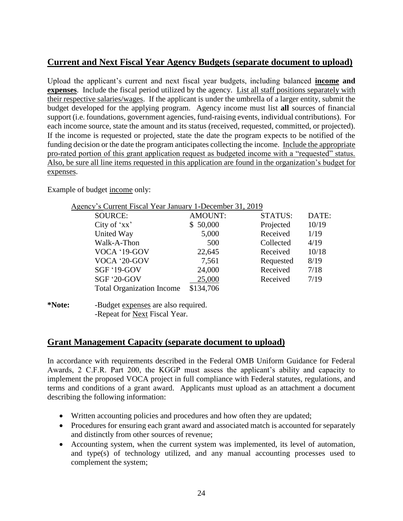# **Current and Next Fiscal Year Agency Budgets (separate document to upload)**

Upload the applicant's current and next fiscal year budgets, including balanced **income and expenses**. Include the fiscal period utilized by the agency. List all staff positions separately with their respective salaries/wages. If the applicant is under the umbrella of a larger entity, submit the budget developed for the applying program. Agency income must list **all** sources of financial support (i.e. foundations, government agencies, fund-raising events, individual contributions). For each income source, state the amount and its status (received, requested, committed, or projected). If the income is requested or projected, state the date the program expects to be notified of the funding decision or the date the program anticipates collecting the income. Include the appropriate pro-rated portion of this grant application request as budgeted income with a "requested" status. Also, be sure all line items requested in this application are found in the organization's budget for expenses.

Example of budget income only:

| Agency's Current Fiscal Year January 1-December 31, 2019 |                |                |       |
|----------------------------------------------------------|----------------|----------------|-------|
| <b>SOURCE:</b>                                           | <b>AMOUNT:</b> | <b>STATUS:</b> | DATE: |
| City of 'xx'                                             | \$50,000       | Projected      | 10/19 |
| United Way                                               | 5,000          | Received       | 1/19  |
| Walk-A-Thon                                              | 500            | Collected      | 4/19  |
| VOCA '19-GOV                                             | 22,645         | Received       | 10/18 |
| VOCA '20-GOV                                             | 7,561          | Requested      | 8/19  |
| SGF '19-GOV                                              | 24,000         | Received       | 7/18  |
| SGF '20-GOV                                              | 25,000         | Received       | 7/19  |
| <b>Total Organization Income</b>                         | \$134,706      |                |       |
|                                                          |                |                |       |

**\*Note:** -Budget expenses are also required. -Repeat for Next Fiscal Year.

#### **Grant Management Capacity (separate document to upload)**

In accordance with requirements described in the Federal OMB Uniform Guidance for Federal Awards, 2 C.F.R. Part 200, the KGGP must assess the applicant's ability and capacity to implement the proposed VOCA project in full compliance with Federal statutes, regulations, and terms and conditions of a grant award. Applicants must upload as an attachment a document describing the following information:

- Written accounting policies and procedures and how often they are updated;
- Procedures for ensuring each grant award and associated match is accounted for separately and distinctly from other sources of revenue;
- Accounting system, when the current system was implemented, its level of automation, and type(s) of technology utilized, and any manual accounting processes used to complement the system;